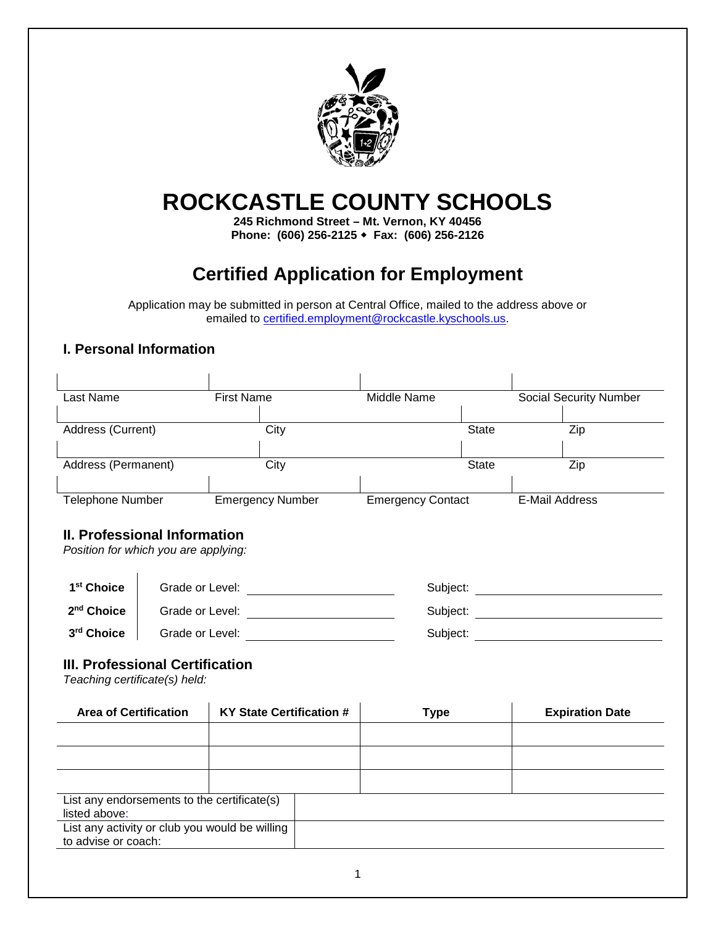

# **ROCKCASTLE COUNTY SCHOOLS**

**245 Richmond Street – Mt. Vernon, KY 40456 Phone: (606) 256-2125 Fax: (606) 256-2126**

## **Certified Application for Employment**

Application may be submitted in person at Central Office, mailed to the address above or emailed to [certified.employment@rockcastle.kyschools.us.](mailto:certified.employment@rockcastle.kyschools.us)

#### **I. Personal Information**

| Last Name               | <b>First Name</b>       | Middle Name              |              | <b>Social Security Number</b> |  |
|-------------------------|-------------------------|--------------------------|--------------|-------------------------------|--|
|                         |                         |                          |              |                               |  |
| Address (Current)       | City                    |                          | <b>State</b> | Zip                           |  |
|                         |                         |                          |              |                               |  |
| Address (Permanent)     | City                    |                          | State        | Zip                           |  |
|                         |                         |                          |              |                               |  |
| <b>Telephone Number</b> | <b>Emergency Number</b> | <b>Emergency Contact</b> |              | E-Mail Address                |  |

#### **II. Professional Information**

*Position for which you are applying:*

| 1 <sup>st</sup> Choice | Grade or Level: | Subject: |  |
|------------------------|-----------------|----------|--|
| 2 <sup>nd</sup> Choice | Grade or Level: | Subject: |  |
| 3 <sup>rd</sup> Choice | Grade or Level: | Subject: |  |

#### **III. Professional Certification**

 $\mathcal{L}_{\mathcal{A}}$ 

*Teaching certificate(s) held:*

| <b>Area of Certification</b>                                    | <b>KY State Certification #</b> | <b>Type</b> | <b>Expiration Date</b> |
|-----------------------------------------------------------------|---------------------------------|-------------|------------------------|
|                                                                 |                                 |             |                        |
|                                                                 |                                 |             |                        |
|                                                                 |                                 |             |                        |
| List any endorsements to the certificate(s)                     |                                 |             |                        |
| listed above:<br>List any activity or club you would be willing |                                 |             |                        |
| to advise or coach:                                             |                                 |             |                        |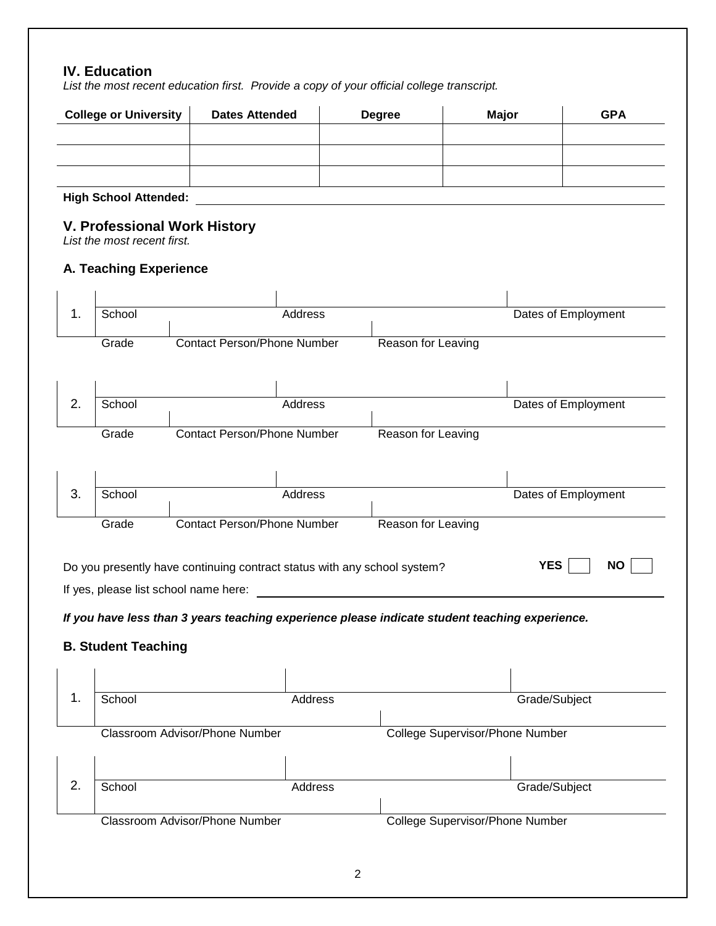#### **IV. Education**

*List the most recent education first. Provide a copy of your official college transcript.*

|    | <b>College or University</b>                                       | <b>Dates Attended</b>                                                                          | <b>Degree</b> |                    | <b>Major</b>                           | <b>GPA</b>          |
|----|--------------------------------------------------------------------|------------------------------------------------------------------------------------------------|---------------|--------------------|----------------------------------------|---------------------|
|    |                                                                    |                                                                                                |               |                    |                                        |                     |
|    |                                                                    |                                                                                                |               |                    |                                        |                     |
|    | <b>High School Attended:</b>                                       |                                                                                                |               |                    |                                        |                     |
|    | <b>V. Professional Work History</b><br>List the most recent first. |                                                                                                |               |                    |                                        |                     |
|    | A. Teaching Experience                                             |                                                                                                |               |                    |                                        |                     |
|    |                                                                    |                                                                                                |               |                    |                                        |                     |
| 1. | School                                                             | Address                                                                                        |               |                    |                                        | Dates of Employment |
|    | Grade                                                              | <b>Contact Person/Phone Number</b>                                                             |               | Reason for Leaving |                                        |                     |
|    |                                                                    |                                                                                                |               |                    |                                        |                     |
| 2. | School                                                             | Address                                                                                        |               |                    |                                        | Dates of Employment |
|    |                                                                    |                                                                                                |               |                    |                                        |                     |
|    | Grade                                                              | <b>Contact Person/Phone Number</b>                                                             |               | Reason for Leaving |                                        |                     |
|    |                                                                    |                                                                                                |               |                    |                                        |                     |
| 3. | School                                                             | Address                                                                                        |               |                    |                                        | Dates of Employment |
|    | Grade                                                              | <b>Contact Person/Phone Number</b>                                                             |               | Reason for Leaving |                                        |                     |
|    |                                                                    | Do you presently have continuing contract status with any school system?                       |               |                    | <b>YES</b>                             | <b>NO</b>           |
|    | If yes, please list school name here:                              |                                                                                                |               |                    |                                        |                     |
|    |                                                                    | If you have less than 3 years teaching experience please indicate student teaching experience. |               |                    |                                        |                     |
|    | <b>B. Student Teaching</b>                                         |                                                                                                |               |                    |                                        |                     |
|    |                                                                    |                                                                                                |               |                    |                                        |                     |
| 1. | School                                                             | Address                                                                                        |               |                    | Grade/Subject                          |                     |
|    |                                                                    | Classroom Advisor/Phone Number                                                                 |               |                    | <b>College Supervisor/Phone Number</b> |                     |
|    |                                                                    |                                                                                                |               |                    |                                        |                     |
| 2. | School                                                             | Address                                                                                        |               |                    | Grade/Subject                          |                     |
|    |                                                                    |                                                                                                |               |                    |                                        |                     |
|    |                                                                    | Classroom Advisor/Phone Number                                                                 |               |                    | <b>College Supervisor/Phone Number</b> |                     |
|    |                                                                    |                                                                                                |               |                    |                                        |                     |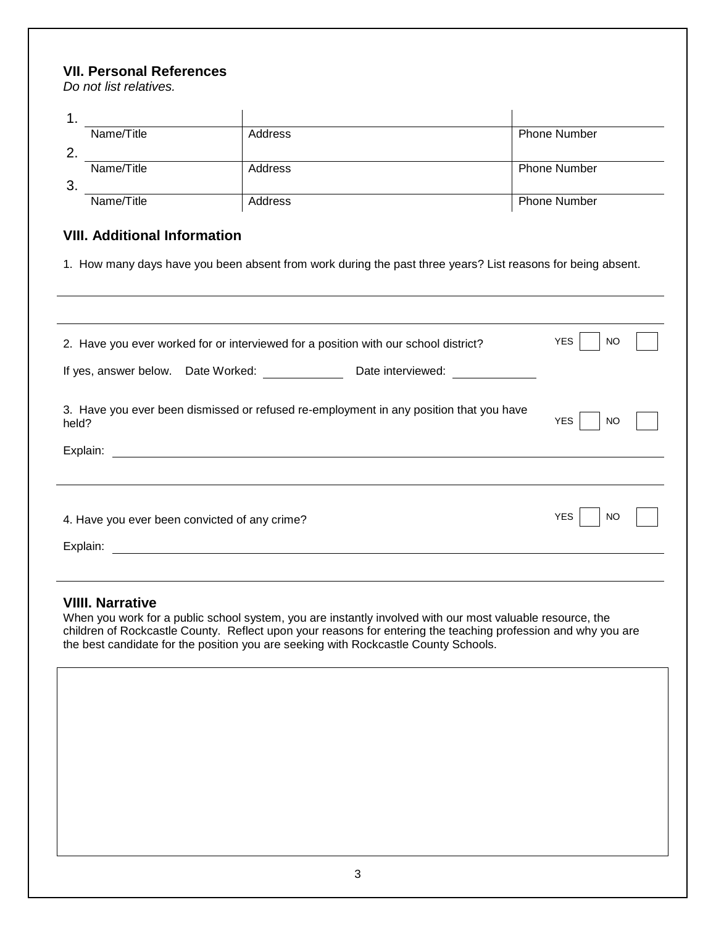#### **VII. Personal References**

*Do not list relatives.*

|     | Name/Title | Address | <b>Phone Number</b> |
|-----|------------|---------|---------------------|
|     |            |         |                     |
|     | Name/Title | Address | <b>Phone Number</b> |
| -3. |            |         |                     |
|     | Name/Title | Address | <b>Phone Number</b> |

### **VIII. Additional Information**

1. How many days have you been absent from work during the past three years? List reasons for being absent.

| 2. Have you ever worked for or interviewed for a position with our school district?                         | <b>YES</b><br>NO. |
|-------------------------------------------------------------------------------------------------------------|-------------------|
| If yes, answer below. Date Worked:<br>Date interviewed:                                                     |                   |
| 3. Have you ever been dismissed or refused re-employment in any position that you have<br>held?<br>Explain: | <b>YES</b><br>NO  |
|                                                                                                             |                   |
| 4. Have you ever been convicted of any crime?<br>Explain:                                                   | <b>YES</b><br>NO  |
|                                                                                                             |                   |

#### **VIIII. Narrative**

When you work for a public school system, you are instantly involved with our most valuable resource, the children of Rockcastle County. Reflect upon your reasons for entering the teaching profession and why you are the best candidate for the position you are seeking with Rockcastle County Schools.